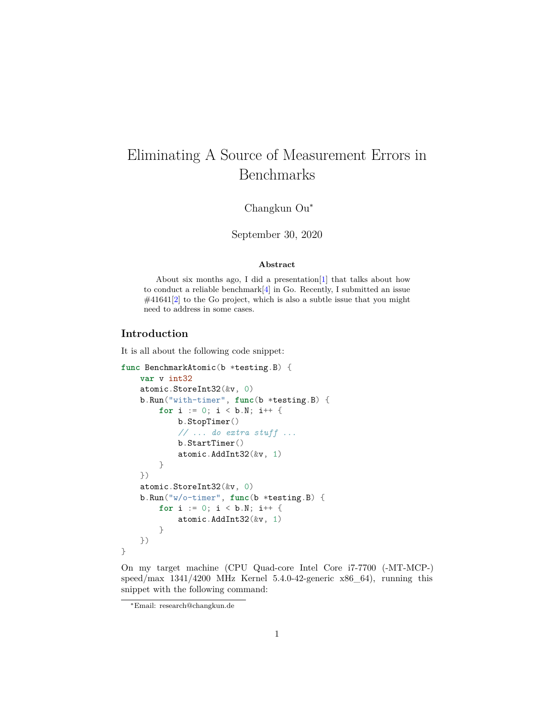# Eliminating A Source of Measurement Errors in Benchmarks

Changkun Ou<sup>∗</sup>

September 30, 2020

#### **Abstract**

About six months ago, I did a presentation[[1](#page-9-0)] that talks about how to conduct a reliable benchmark $[4]$  $[4]$  $[4]$  in Go. Recently, I submitted an issue #41641[[2\]](#page-9-2) to the Go project, which is also a subtle issue that you might need to address in some cases.

## **Introduction**

It is all about the following code snippet:

```
func BenchmarkAtomic(b *testing.B) {
    var v int32
   atomic.StoreInt32(&v, 0)
    b.Run("with-timer", func(b *testing.B) {
        for i := 0; i < b.N; i++b.StopTimer()
            // ... do extra stuff ...
            b.StartTimer()
            atomic.AddInt32(&v, 1)
        }
    })
    atomic.StoreInt32(&v, 0)
    b.Run("w/o-timer", func(b *testing.B) {
        for i := 0; i < b.N; i++ {
            atomic.AddInt32(&v, 1)
        }
    })
}
```
On my target machine (CPU Quad-core Intel Core i7-7700 (-MT-MCP-) speed/max  $1341/4200$  MHz Kernel 5.4.0-42-generic x86 64), running this snippet with the following command:

<sup>∗</sup>Email: research@changkun.de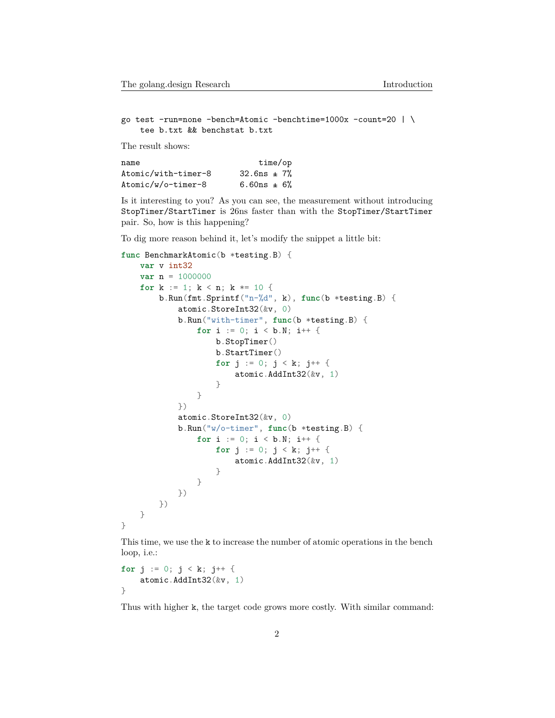go test -run=none -bench=Atomic -benchtime=1000x -count=20 | \ tee b.txt && benchstat b.txt

The result shows:

| name                | time/op            |  |
|---------------------|--------------------|--|
| Atomic/with-timer-8 | $32.6$ ns $\pm 7%$ |  |
| Atomic/w/o-timer-8  | $6.60ns + 6%$      |  |

Is it interesting to you? As you can see, the measurement without introducing StopTimer/StartTimer is 26ns faster than with the StopTimer/StartTimer pair. So, how is this happening?

To dig more reason behind it, let's modify the snippet a little bit:

```
func BenchmarkAtomic(b *testing.B) {
    var v int32
    var n = 1000000for k := 1; k < n; k *= 10 {
        b.Run(fmt.Sprintf("n-%d", k), func(b *testing.B) {
            atomic.StoreInt32(&v, 0)
            b.Run("with-timer", func(b *testing.B) {
                for i := 0; i < b.N; i++ {
                    b.StopTimer()
                    b.StartTimer()
                    for j := 0; j \le k; j++)atomic.AddInt32(&v, 1)
                    }
                }
            })
            atomic.StoreInt32(&v, 0)
            b.Run("w/o-timer", func(b *testing.B) {
                for i := 0; i < b.N; i++ {
                    for j := 0; j < k; j^{++} {
                        atomic.AddInt32(&v, 1)
                    }
                }
            })
        })
    }
}
```
This time, we use the k to increase the number of atomic operations in the bench loop, i.e.:

```
for j := 0; j < k; j++ \{atomic.AddInt32(&v, 1)
}
```
Thus with higher k, the target code grows more costly. With similar command: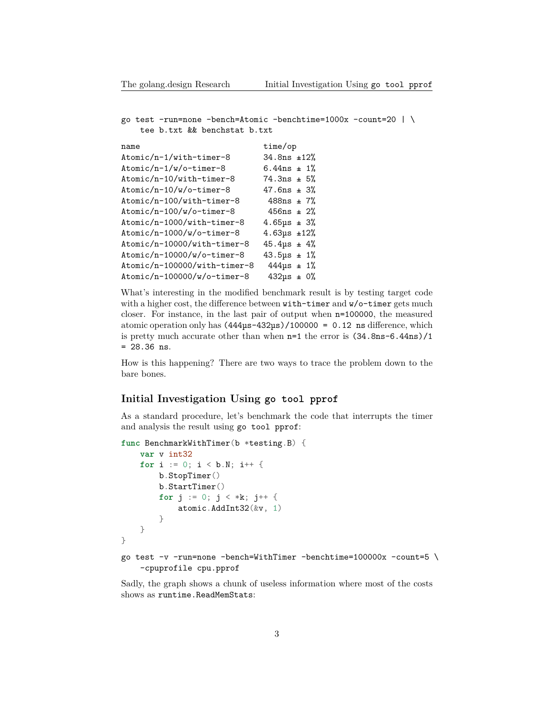```
go test -run=none -bench=Atomic -benchtime=1000x -count=20 | \
    tee b.txt && benchstat b.txt
```

```
name time/op
Atomic/n-1/with-timer-8 34.8ns ±12%
Atomic/n-1/w/o-time r-8 6.44ns \pm 1%
Atomic/n-10/with-timer-8 74.3ns \pm 5%Atomic/n-10/w/o-time r-8 47.6ns \pm 3%
Atomic/n-100/with-timer-8 488ns \pm 7\%Atomic/n-100/w/o-timer-8 456ns \pm 2%
Atomic/n-1000/with-timer-8 4.65\mu s \pm 3%Atomic/n-1000/w/o-timer-8 4.63µs ±12%
Atomic/n-10000/with-timer-8 45.4\mu s \pm 4\%Atomic/n-10000/w/o-timer-8 43.5 \mu s \pm 1\%Atomic/n-100000/with-timer-8 444\mu s \pm 1\%Atomic/n-100000/w/o-time r-8 432us \pm 0%
```
What's interesting in the modified benchmark result is by testing target code with a higher cost, the difference between with-timer and  $w$ /o-timer gets much closer. For instance, in the last pair of output when n=100000, the measured atomic operation only has  $(444\mu s - 432\mu s)/100000 = 0.12$  ns difference, which is pretty much accurate other than when  $n=1$  the error is  $(34.8ns-6.44ns)/1$ = 28.36 ns.

How is this happening? There are two ways to trace the problem down to the bare bones.

### **Initial Investigation Using go tool pprof**

As a standard procedure, let's benchmark the code that interrupts the timer and analysis the result using go tool pprof:

```
func BenchmarkWithTimer(b *testing.B) {
    var v int32
   for i := 0; i < b.N; i++ {
        b.StopTimer()
        b.StartTimer()
        for j := 0; j < *k; j++ {
            atomic.AddInt32(&v, 1)
        }
    }
}
go test -v -run=none -bench=WithTimer -benchtime=100000x -count=5 \
    -cpuprofile cpu.pprof
```
Sadly, the graph shows a chunk of useless information where most of the costs shows as runtime.ReadMemStats: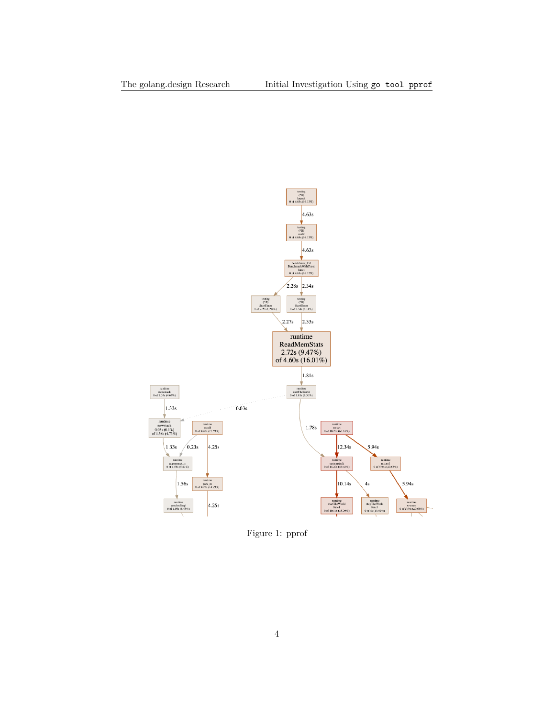

Figure 1: pprof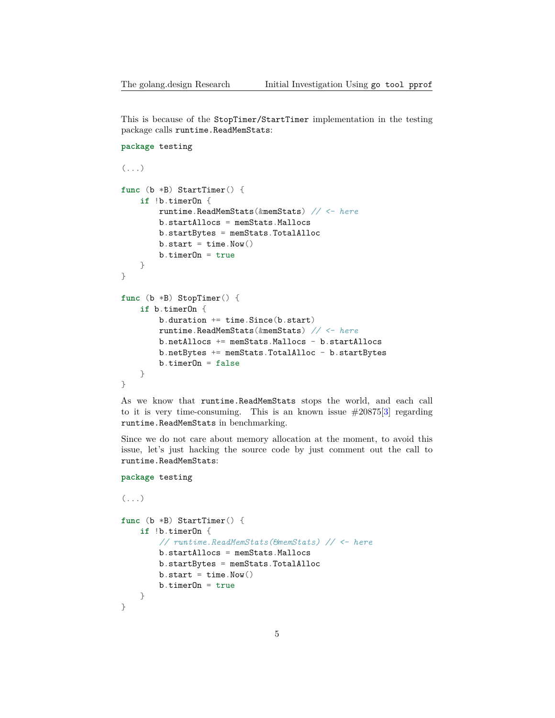This is because of the StopTimer/StartTimer implementation in the testing package calls runtime.ReadMemStats:

```
package testing
(\ldots)func (b *B) StartTimer() {
    if !b.timerOn {
        runtime.ReadMemStats(&memStats) // <- here
        b.startAllocs = memStats.Mallocs
        b.startBytes = memStats.TotalAlloc
        b. start = time. Now()b.timerOn = true
    }
}
func (b *B) StopTimer() {
    if b.timerOn {
        b.duration += time.Since(b.start)
        runtime.ReadMemStats(&memStats) // <- here
        b.netAllocs += memStats.Mallocs - b.startAllocs
        b.netBytes += memStats.TotalAlloc - b.startBytes
        b.timeDn = false}
}
```
As we know that runtime.ReadMemStats stops the world, and each call to it is very time-consuming. This is an known issue  $\#20875[3]$  $\#20875[3]$  regarding runtime.ReadMemStats in benchmarking.

Since we do not care about memory allocation at the moment, to avoid this issue, let's just hacking the source code by just comment out the call to runtime.ReadMemStats:

```
package testing
```

```
(\ldots)func (b *B) StartTimer() {
    if !b.timerOn {
        // runtime.ReadMemStats(&memStats) // <- here
        b.startAllocs = memStats.Mallocs
        b.startBytes = memStats.TotalAlloc
        b. start = time. Now()b.timerOn = true
    }
}
```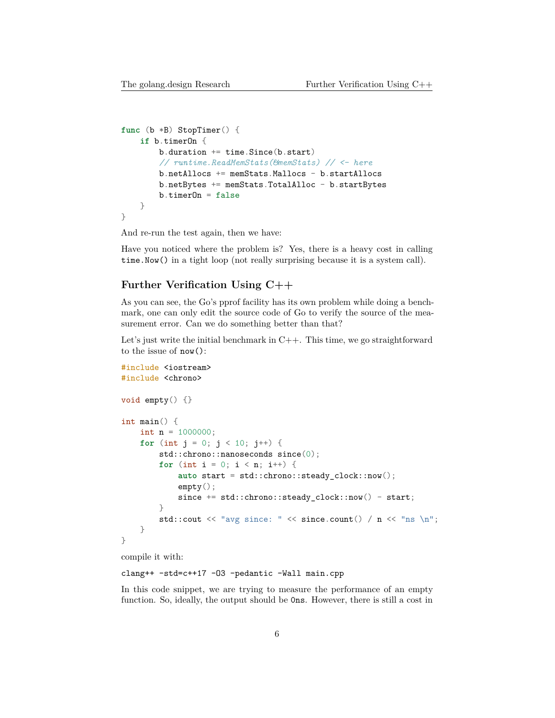```
func (b *B) StopTimer() {
    if b.timerOn {
        b. duration += time. Since (b. start)
        // runtime.ReadMemStats(&memStats) // <- here
        b.netAllocs += memStats.Mallocs - b.startAllocs
        b.netBytes += memStats. TotalAlloc - b.startBytes
        b.timeDn = false}
}
```
And re-run the test again, then we have:

Have you noticed where the problem is? Yes, there is a heavy cost in calling time.Now() in a tight loop (not really surprising because it is a system call).

#### **Further Verification Using C++**

As you can see, the Go's pprof facility has its own problem while doing a benchmark, one can only edit the source code of Go to verify the source of the measurement error. Can we do something better than that?

Let's just write the initial benchmark in  $C_{++}$ . This time, we go straightforward to the issue of now():

```
#include <iostream>
#include <chrono>
void empty() {}
int main() {
    int n = 1000000;
    for (int j = 0; j < 10; j^{++}) {
        std::chrono::nanoseconds since(0);
        for (int i = 0; i < n; i++) {
            auto start = std::chrono::steady_clock::now();
            empty();
            since += std::chrono::steady_clock::now() - start;
        }
        std::cout << "avg since: " << since.count() / n \ll "ns \n";
    }
}
```
compile it with:

#### clang++ -std=c++17 -O3 -pedantic -Wall main.cpp

In this code snippet, we are trying to measure the performance of an empty function. So, ideally, the output should be 0ns. However, there is still a cost in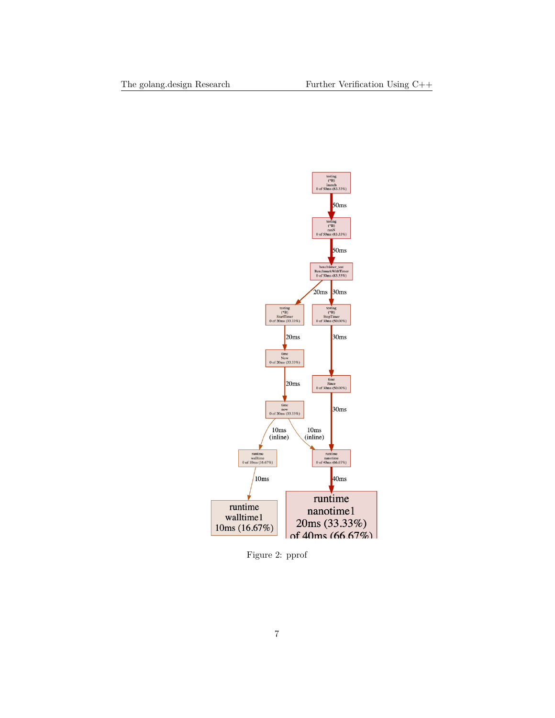

Figure 2: pprof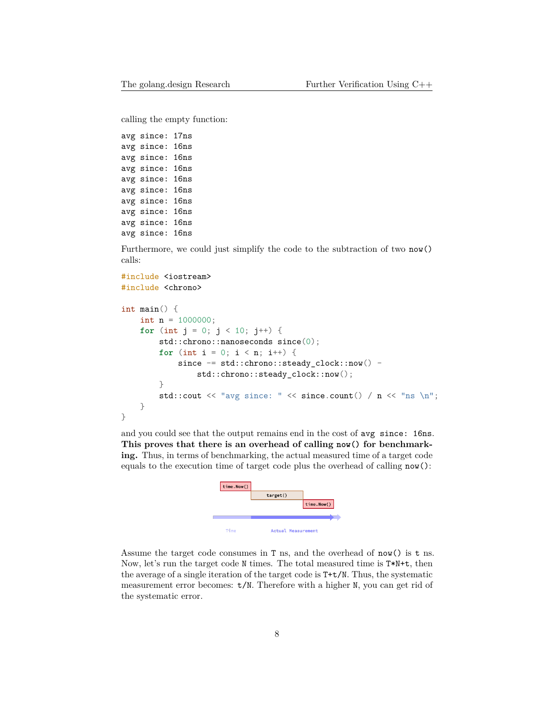calling the empty function:

avg since: 17ns avg since: 16ns avg since: 16ns avg since: 16ns avg since: 16ns avg since: 16ns avg since: 16ns avg since: 16ns avg since: 16ns avg since: 16ns

Furthermore, we could just simplify the code to the subtraction of two now() calls:

```
#include <iostream>
#include <chrono>
```

```
int main() {
    int n = 1000000;
    for (int j = 0; j < 10; j^{++}) {
        std::chrono::nanoseconds since(0);
        for (int i = 0; i < n; i++) {
            since - std::chrono::steady_clock::now() -
                std::chrono::steady_clock::now();
        }
        std::cout << "avg since: " << since.count() / n \ll "ns \n";
    }
}
```
and you could see that the output remains end in the cost of avg since: 16ns. **This proves that there is an overhead of calling now() for benchmarking.** Thus, in terms of benchmarking, the actual measured time of a target code equals to the execution time of target code plus the overhead of calling now():



Assume the target code consumes in T ns, and the overhead of now() is t ns. Now, let's run the target code N times. The total measured time is T\*N+t, then the average of a single iteration of the target code is T+t/N. Thus, the systematic measurement error becomes: t/N. Therefore with a higher N, you can get rid of the systematic error.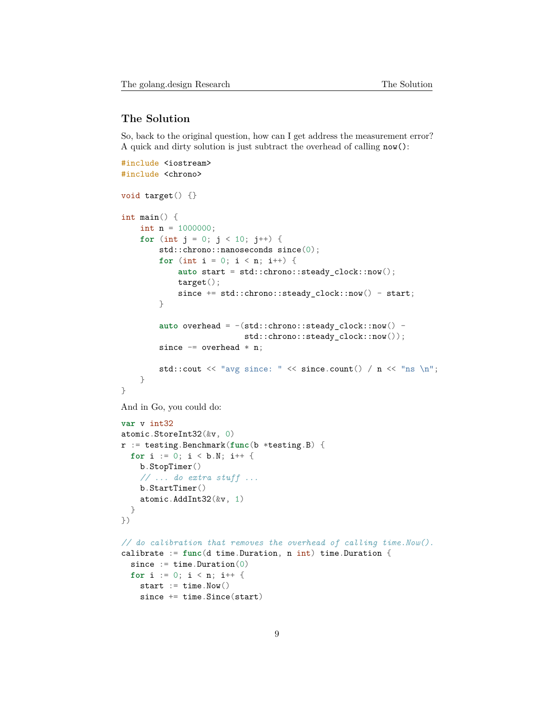#### **The Solution**

So, back to the original question, how can I get address the measurement error? A quick and dirty solution is just subtract the overhead of calling now():

```
#include <iostream>
#include <chrono>
void target() {}
int main() {
   int n = 1000000;
    for (int j = 0; j < 10; j++) {
        std::chrono::nanoseconds since(0);
        for (int i = 0; i < n; i++) {
            auto start = std::chrono::steady_clock::now();
            target();
            since += std::chrono::steady_clock::now() - start;
        }
        auto overhead = -(std::chrono::steady_clock::now() -std::chrono::steady_clock::now());
        since - overhead * n;
        std::cout << "avg since: " << since.count() / n \ll "ns \n";
    }
}
And in Go, you could do:
var v int32
atomic.StoreInt32(&v, 0)
r := testing.Benchmark(func(b *testing.B) {
 for i := 0; i < b.N; i++ {
   b.StopTimer()
    // ... do extra stuff ...
   b.StartTimer()
   atomic.AddInt32(&v, 1)
 }
})
// do calibration that removes the overhead of calling time.Now().
calibrate := func(d time.Duration, n int) time.Duration {
  since := time. Duration(0)
 for i := 0; i < n; i++ {
   start := time. Now()
   since += time.Since(start)
```